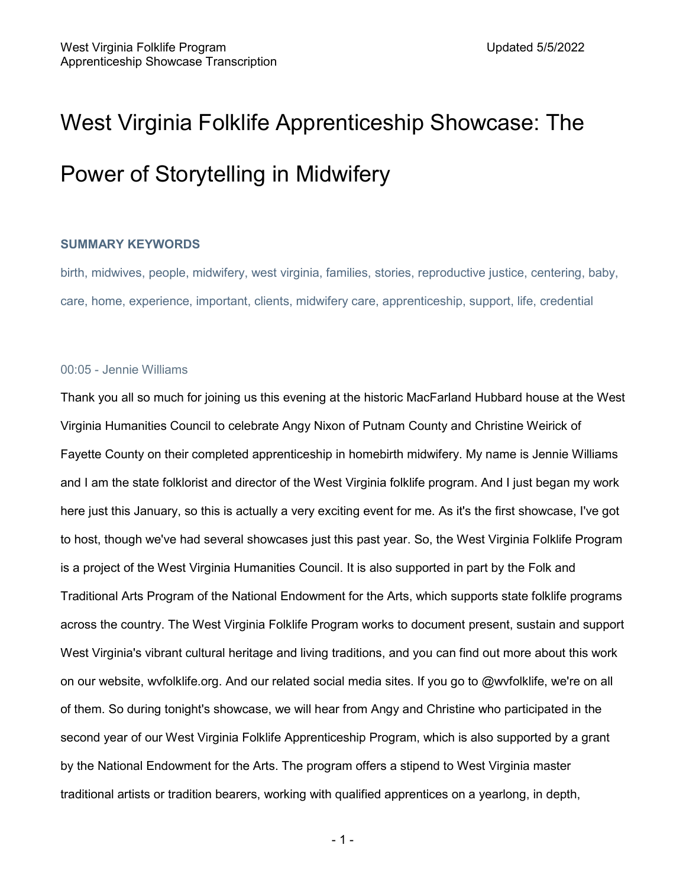# West Virginia Folklife Apprenticeship Showcase: The Power of Storytelling in Midwifery

# **SUMMARY KEYWORDS**

birth, midwives, people, midwifery, west virginia, families, stories, reproductive justice, centering, baby, care, home, experience, important, clients, midwifery care, apprenticeship, support, life, credential

# 00:05 - Jennie Williams

Thank you all so much for joining us this evening at the historic MacFarland Hubbard house at the West Virginia Humanities Council to celebrate Angy Nixon of Putnam County and Christine Weirick of Fayette County on their completed apprenticeship in homebirth midwifery. My name is Jennie Williams and I am the state folklorist and director of the West Virginia folklife program. And I just began my work here just this January, so this is actually a very exciting event for me. As it's the first showcase, I've got to host, though we've had several showcases just this past year. So, the West Virginia Folklife Program is a project of the West Virginia Humanities Council. It is also supported in part by the Folk and Traditional Arts Program of the National Endowment for the Arts, which supports state folklife programs across the country. The West Virginia Folklife Program works to document present, sustain and support West Virginia's vibrant cultural heritage and living traditions, and you can find out more about this work on our website, wvfolklife.org. And our related social media sites. If you go to @wvfolklife, we're on all of them. So during tonight's showcase, we will hear from Angy and Christine who participated in the second year of our West Virginia Folklife Apprenticeship Program, which is also supported by a grant by the National Endowment for the Arts. The program offers a stipend to West Virginia master traditional artists or tradition bearers, working with qualified apprentices on a yearlong, in depth,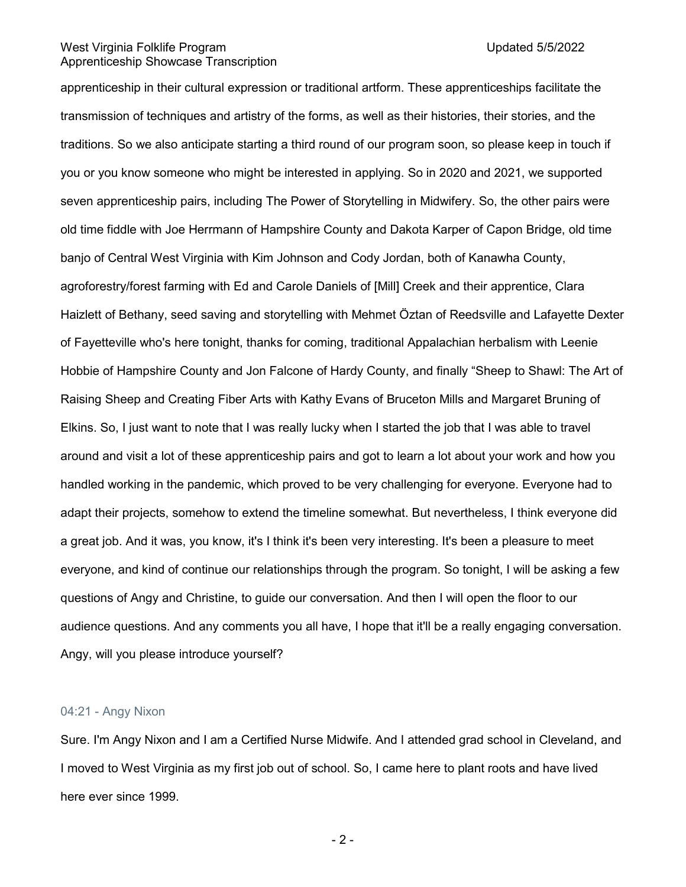apprenticeship in their cultural expression or traditional artform. These apprenticeships facilitate the transmission of techniques and artistry of the forms, as well as their histories, their stories, and the traditions. So we also anticipate starting a third round of our program soon, so please keep in touch if you or you know someone who might be interested in applying. So in 2020 and 2021, we supported seven apprenticeship pairs, including The Power of Storytelling in Midwifery. So, the other pairs were old time fiddle with Joe Herrmann of Hampshire County and Dakota Karper of Capon Bridge, old time banjo of Central West Virginia with Kim Johnson and Cody Jordan, both of Kanawha County, agroforestry/forest farming with Ed and Carole Daniels of [Mill] Creek and their apprentice, Clara Haizlett of Bethany, seed saving and storytelling with Mehmet Öztan of Reedsville and Lafayette Dexter of Fayetteville who's here tonight, thanks for coming, traditional Appalachian herbalism with Leenie Hobbie of Hampshire County and Jon Falcone of Hardy County, and finally "Sheep to Shawl: The Art of Raising Sheep and Creating Fiber Arts with Kathy Evans of Bruceton Mills and Margaret Bruning of Elkins. So, I just want to note that I was really lucky when I started the job that I was able to travel around and visit a lot of these apprenticeship pairs and got to learn a lot about your work and how you handled working in the pandemic, which proved to be very challenging for everyone. Everyone had to adapt their projects, somehow to extend the timeline somewhat. But nevertheless, I think everyone did a great job. And it was, you know, it's I think it's been very interesting. It's been a pleasure to meet everyone, and kind of continue our relationships through the program. So tonight, I will be asking a few questions of Angy and Christine, to guide our conversation. And then I will open the floor to our audience questions. And any comments you all have, I hope that it'll be a really engaging conversation. Angy, will you please introduce yourself?

# 04:21 - Angy Nixon

Sure. I'm Angy Nixon and I am a Certified Nurse Midwife. And I attended grad school in Cleveland, and I moved to West Virginia as my first job out of school. So, I came here to plant roots and have lived here ever since 1999.

 $-2-$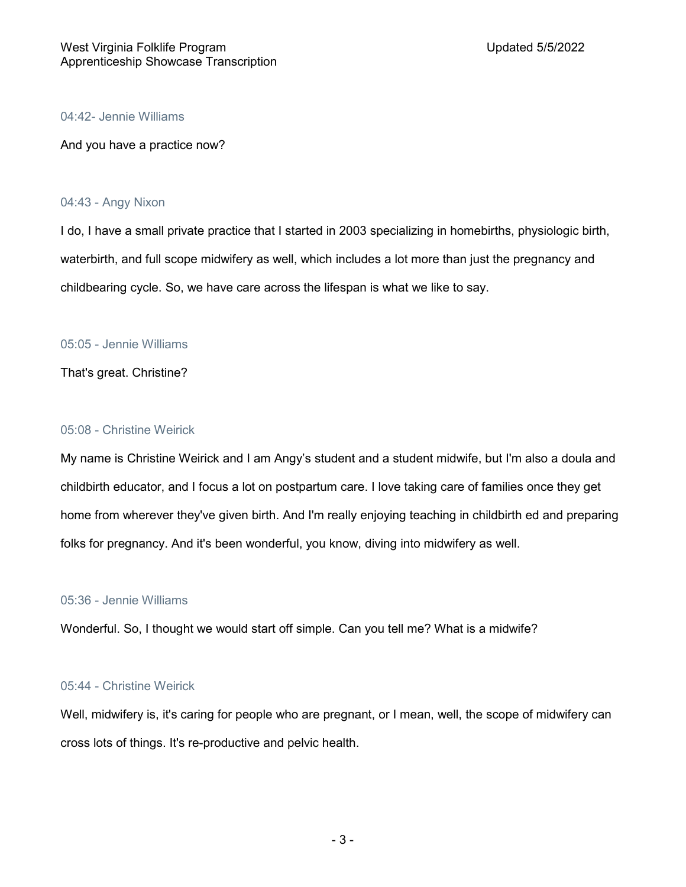# 04:42- Jennie Williams

And you have a practice now?

# 04:43 - Angy Nixon

I do, I have a small private practice that I started in 2003 specializing in homebirths, physiologic birth, waterbirth, and full scope midwifery as well, which includes a lot more than just the pregnancy and childbearing cycle. So, we have care across the lifespan is what we like to say.

# 05:05 - Jennie Williams

That's great. Christine?

# 05:08 - Christine Weirick

My name is Christine Weirick and I am Angy's student and a student midwife, but I'm also a doula and childbirth educator, and I focus a lot on postpartum care. I love taking care of families once they get home from wherever they've given birth. And I'm really enjoying teaching in childbirth ed and preparing folks for pregnancy. And it's been wonderful, you know, diving into midwifery as well.

# 05:36 - Jennie Williams

Wonderful. So, I thought we would start off simple. Can you tell me? What is a midwife?

# 05:44 - Christine Weirick

Well, midwifery is, it's caring for people who are pregnant, or I mean, well, the scope of midwifery can cross lots of things. It's re-productive and pelvic health.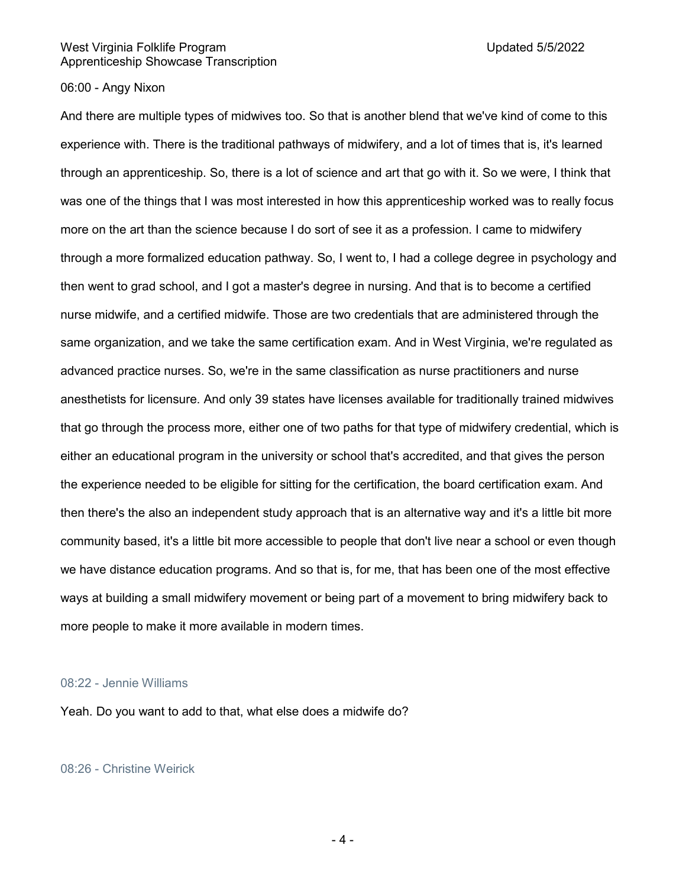# 06:00 - Angy Nixon

And there are multiple types of midwives too. So that is another blend that we've kind of come to this experience with. There is the traditional pathways of midwifery, and a lot of times that is, it's learned through an apprenticeship. So, there is a lot of science and art that go with it. So we were, I think that was one of the things that I was most interested in how this apprenticeship worked was to really focus more on the art than the science because I do sort of see it as a profession. I came to midwifery through a more formalized education pathway. So, I went to, I had a college degree in psychology and then went to grad school, and I got a master's degree in nursing. And that is to become a certified nurse midwife, and a certified midwife. Those are two credentials that are administered through the same organization, and we take the same certification exam. And in West Virginia, we're regulated as advanced practice nurses. So, we're in the same classification as nurse practitioners and nurse anesthetists for licensure. And only 39 states have licenses available for traditionally trained midwives that go through the process more, either one of two paths for that type of midwifery credential, which is either an educational program in the university or school that's accredited, and that gives the person the experience needed to be eligible for sitting for the certification, the board certification exam. And then there's the also an independent study approach that is an alternative way and it's a little bit more community based, it's a little bit more accessible to people that don't live near a school or even though we have distance education programs. And so that is, for me, that has been one of the most effective ways at building a small midwifery movement or being part of a movement to bring midwifery back to more people to make it more available in modern times.

#### 08:22 - Jennie Williams

Yeah. Do you want to add to that, what else does a midwife do?

08:26 - Christine Weirick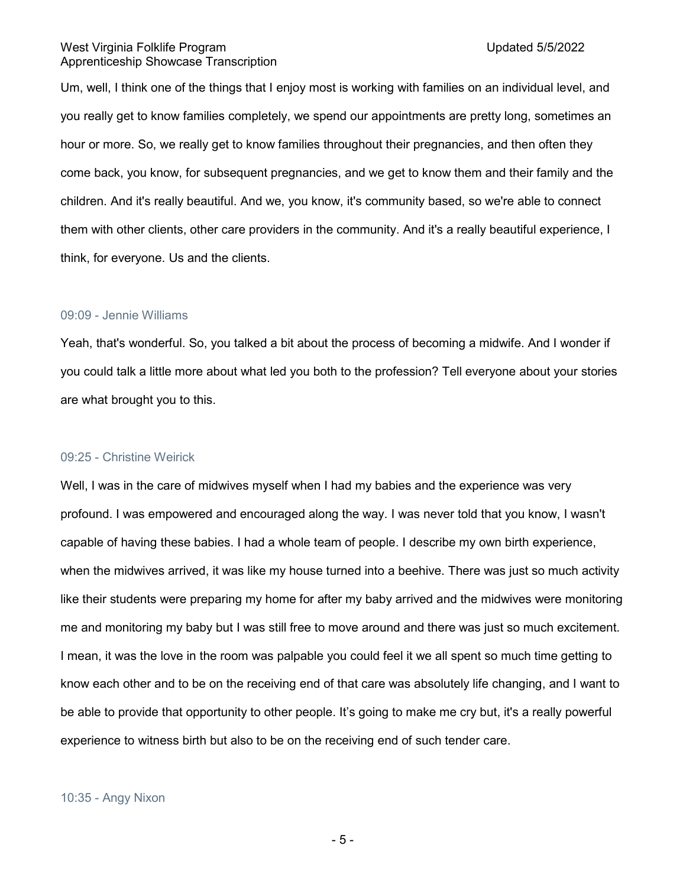Um, well, I think one of the things that I enjoy most is working with families on an individual level, and you really get to know families completely, we spend our appointments are pretty long, sometimes an hour or more. So, we really get to know families throughout their pregnancies, and then often they come back, you know, for subsequent pregnancies, and we get to know them and their family and the children. And it's really beautiful. And we, you know, it's community based, so we're able to connect them with other clients, other care providers in the community. And it's a really beautiful experience, I think, for everyone. Us and the clients.

# 09:09 - Jennie Williams

Yeah, that's wonderful. So, you talked a bit about the process of becoming a midwife. And I wonder if you could talk a little more about what led you both to the profession? Tell everyone about your stories are what brought you to this.

# 09:25 - Christine Weirick

Well, I was in the care of midwives myself when I had my babies and the experience was very profound. I was empowered and encouraged along the way. I was never told that you know, I wasn't capable of having these babies. I had a whole team of people. I describe my own birth experience, when the midwives arrived, it was like my house turned into a beehive. There was just so much activity like their students were preparing my home for after my baby arrived and the midwives were monitoring me and monitoring my baby but I was still free to move around and there was just so much excitement. I mean, it was the love in the room was palpable you could feel it we all spent so much time getting to know each other and to be on the receiving end of that care was absolutely life changing, and I want to be able to provide that opportunity to other people. It's going to make me cry but, it's a really powerful experience to witness birth but also to be on the receiving end of such tender care.

#### 10:35 - Angy Nixon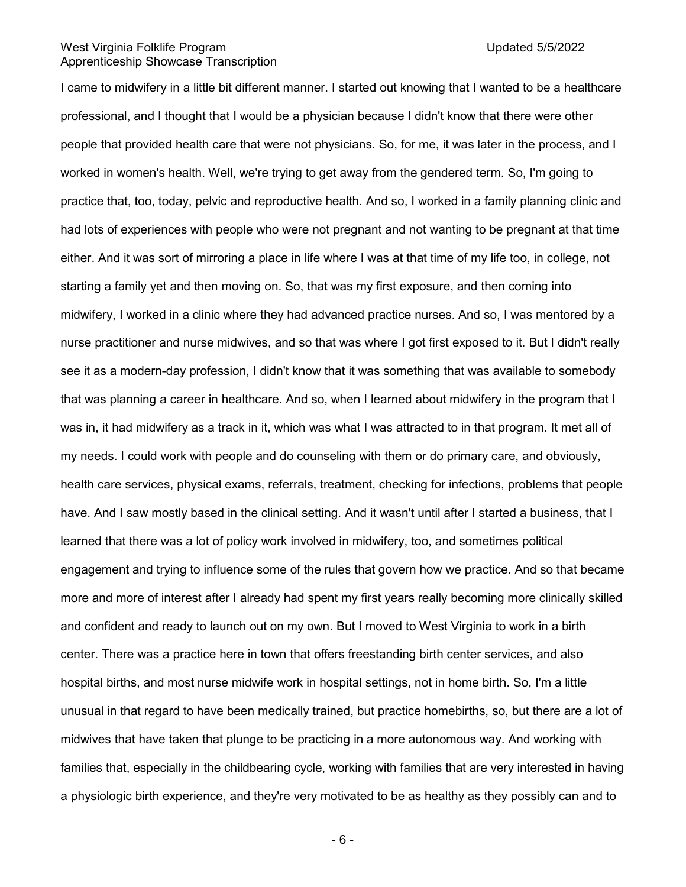I came to midwifery in a little bit different manner. I started out knowing that I wanted to be a healthcare professional, and I thought that I would be a physician because I didn't know that there were other people that provided health care that were not physicians. So, for me, it was later in the process, and I worked in women's health. Well, we're trying to get away from the gendered term. So, I'm going to practice that, too, today, pelvic and reproductive health. And so, I worked in a family planning clinic and had lots of experiences with people who were not pregnant and not wanting to be pregnant at that time either. And it was sort of mirroring a place in life where I was at that time of my life too, in college, not starting a family yet and then moving on. So, that was my first exposure, and then coming into midwifery, I worked in a clinic where they had advanced practice nurses. And so, I was mentored by a nurse practitioner and nurse midwives, and so that was where I got first exposed to it. But I didn't really see it as a modern-day profession, I didn't know that it was something that was available to somebody that was planning a career in healthcare. And so, when I learned about midwifery in the program that I was in, it had midwifery as a track in it, which was what I was attracted to in that program. It met all of my needs. I could work with people and do counseling with them or do primary care, and obviously, health care services, physical exams, referrals, treatment, checking for infections, problems that people have. And I saw mostly based in the clinical setting. And it wasn't until after I started a business, that I learned that there was a lot of policy work involved in midwifery, too, and sometimes political engagement and trying to influence some of the rules that govern how we practice. And so that became more and more of interest after I already had spent my first years really becoming more clinically skilled and confident and ready to launch out on my own. But I moved to West Virginia to work in a birth center. There was a practice here in town that offers freestanding birth center services, and also hospital births, and most nurse midwife work in hospital settings, not in home birth. So, I'm a little unusual in that regard to have been medically trained, but practice homebirths, so, but there are a lot of midwives that have taken that plunge to be practicing in a more autonomous way. And working with families that, especially in the childbearing cycle, working with families that are very interested in having a physiologic birth experience, and they're very motivated to be as healthy as they possibly can and to

- 6 -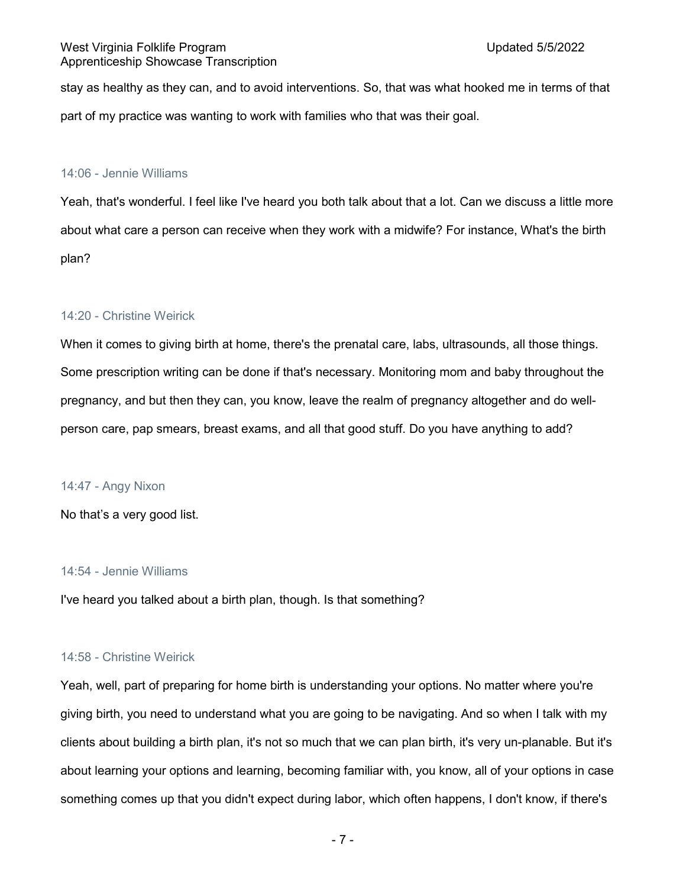stay as healthy as they can, and to avoid interventions. So, that was what hooked me in terms of that part of my practice was wanting to work with families who that was their goal.

#### 14:06 - Jennie Williams

Yeah, that's wonderful. I feel like I've heard you both talk about that a lot. Can we discuss a little more about what care a person can receive when they work with a midwife? For instance, What's the birth plan?

# 14:20 - Christine Weirick

When it comes to giving birth at home, there's the prenatal care, labs, ultrasounds, all those things. Some prescription writing can be done if that's necessary. Monitoring mom and baby throughout the pregnancy, and but then they can, you know, leave the realm of pregnancy altogether and do wellperson care, pap smears, breast exams, and all that good stuff. Do you have anything to add?

# 14:47 - Angy Nixon

No that's a very good list.

# 14:54 - Jennie Williams

I've heard you talked about a birth plan, though. Is that something?

#### 14:58 - Christine Weirick

Yeah, well, part of preparing for home birth is understanding your options. No matter where you're giving birth, you need to understand what you are going to be navigating. And so when I talk with my clients about building a birth plan, it's not so much that we can plan birth, it's very un-planable. But it's about learning your options and learning, becoming familiar with, you know, all of your options in case something comes up that you didn't expect during labor, which often happens, I don't know, if there's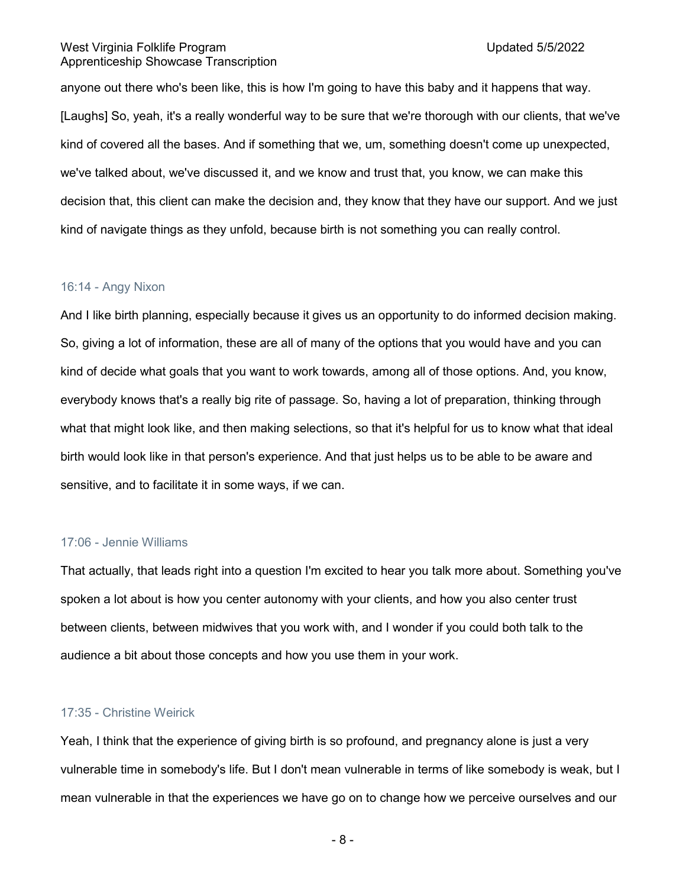anyone out there who's been like, this is how I'm going to have this baby and it happens that way. [Laughs] So, yeah, it's a really wonderful way to be sure that we're thorough with our clients, that we've kind of covered all the bases. And if something that we, um, something doesn't come up unexpected, we've talked about, we've discussed it, and we know and trust that, you know, we can make this decision that, this client can make the decision and, they know that they have our support. And we just kind of navigate things as they unfold, because birth is not something you can really control.

#### 16:14 - Angy Nixon

And I like birth planning, especially because it gives us an opportunity to do informed decision making. So, giving a lot of information, these are all of many of the options that you would have and you can kind of decide what goals that you want to work towards, among all of those options. And, you know, everybody knows that's a really big rite of passage. So, having a lot of preparation, thinking through what that might look like, and then making selections, so that it's helpful for us to know what that ideal birth would look like in that person's experience. And that just helps us to be able to be aware and sensitive, and to facilitate it in some ways, if we can.

# 17:06 - Jennie Williams

That actually, that leads right into a question I'm excited to hear you talk more about. Something you've spoken a lot about is how you center autonomy with your clients, and how you also center trust between clients, between midwives that you work with, and I wonder if you could both talk to the audience a bit about those concepts and how you use them in your work.

# 17:35 - Christine Weirick

Yeah, I think that the experience of giving birth is so profound, and pregnancy alone is just a very vulnerable time in somebody's life. But I don't mean vulnerable in terms of like somebody is weak, but I mean vulnerable in that the experiences we have go on to change how we perceive ourselves and our

- 8 -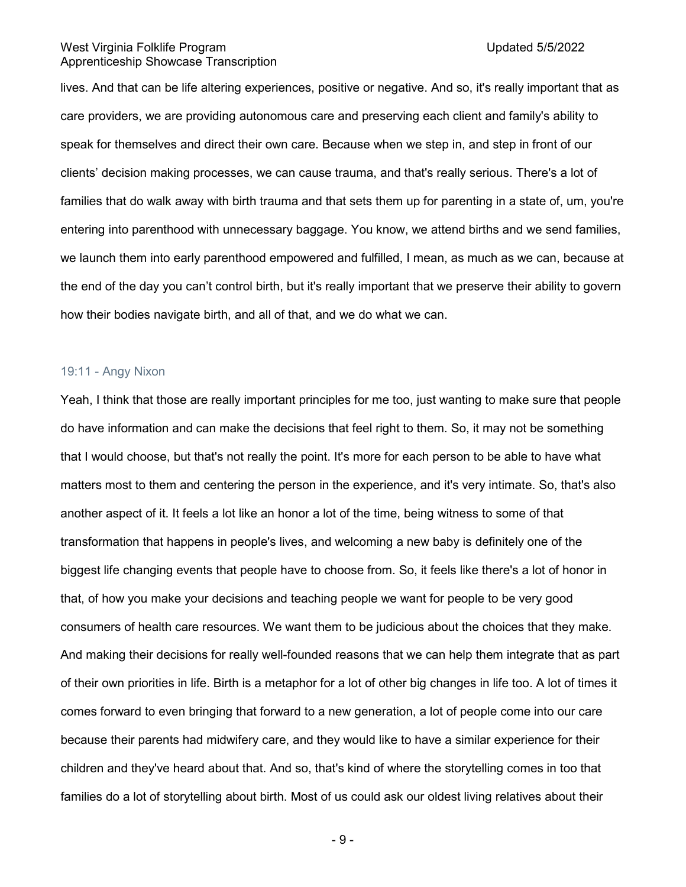lives. And that can be life altering experiences, positive or negative. And so, it's really important that as care providers, we are providing autonomous care and preserving each client and family's ability to speak for themselves and direct their own care. Because when we step in, and step in front of our clients' decision making processes, we can cause trauma, and that's really serious. There's a lot of families that do walk away with birth trauma and that sets them up for parenting in a state of, um, you're entering into parenthood with unnecessary baggage. You know, we attend births and we send families, we launch them into early parenthood empowered and fulfilled, I mean, as much as we can, because at the end of the day you can't control birth, but it's really important that we preserve their ability to govern how their bodies navigate birth, and all of that, and we do what we can.

# 19:11 - Angy Nixon

Yeah, I think that those are really important principles for me too, just wanting to make sure that people do have information and can make the decisions that feel right to them. So, it may not be something that I would choose, but that's not really the point. It's more for each person to be able to have what matters most to them and centering the person in the experience, and it's very intimate. So, that's also another aspect of it. It feels a lot like an honor a lot of the time, being witness to some of that transformation that happens in people's lives, and welcoming a new baby is definitely one of the biggest life changing events that people have to choose from. So, it feels like there's a lot of honor in that, of how you make your decisions and teaching people we want for people to be very good consumers of health care resources. We want them to be judicious about the choices that they make. And making their decisions for really well-founded reasons that we can help them integrate that as part of their own priorities in life. Birth is a metaphor for a lot of other big changes in life too. A lot of times it comes forward to even bringing that forward to a new generation, a lot of people come into our care because their parents had midwifery care, and they would like to have a similar experience for their children and they've heard about that. And so, that's kind of where the storytelling comes in too that families do a lot of storytelling about birth. Most of us could ask our oldest living relatives about their

- 9 -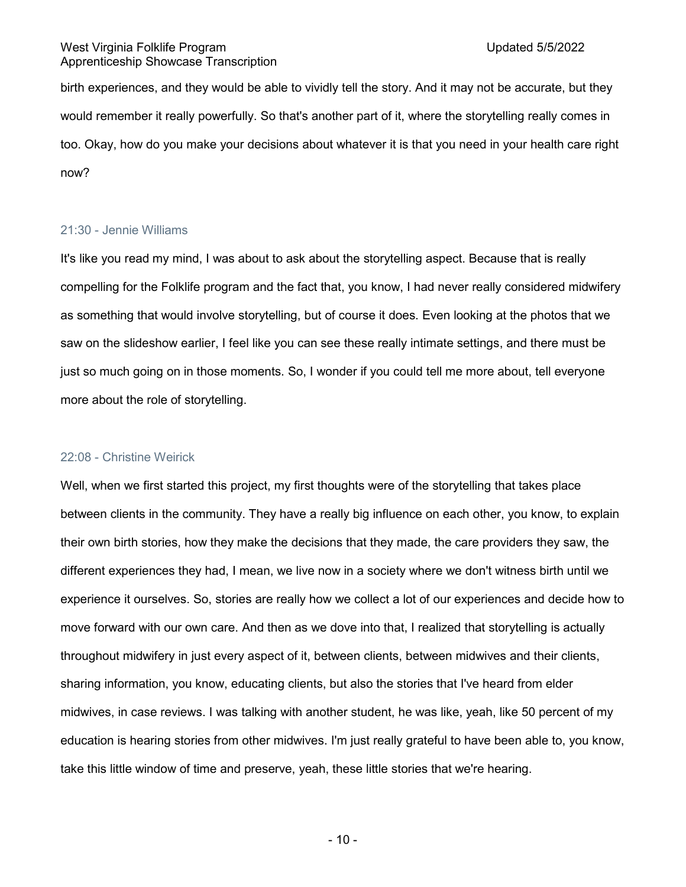birth experiences, and they would be able to vividly tell the story. And it may not be accurate, but they would remember it really powerfully. So that's another part of it, where the storytelling really comes in too. Okay, how do you make your decisions about whatever it is that you need in your health care right now?

# 21:30 - Jennie Williams

It's like you read my mind, I was about to ask about the storytelling aspect. Because that is really compelling for the Folklife program and the fact that, you know, I had never really considered midwifery as something that would involve storytelling, but of course it does. Even looking at the photos that we saw on the slideshow earlier, I feel like you can see these really intimate settings, and there must be just so much going on in those moments. So, I wonder if you could tell me more about, tell everyone more about the role of storytelling.

#### 22:08 - Christine Weirick

Well, when we first started this project, my first thoughts were of the storytelling that takes place between clients in the community. They have a really big influence on each other, you know, to explain their own birth stories, how they make the decisions that they made, the care providers they saw, the different experiences they had, I mean, we live now in a society where we don't witness birth until we experience it ourselves. So, stories are really how we collect a lot of our experiences and decide how to move forward with our own care. And then as we dove into that, I realized that storytelling is actually throughout midwifery in just every aspect of it, between clients, between midwives and their clients, sharing information, you know, educating clients, but also the stories that I've heard from elder midwives, in case reviews. I was talking with another student, he was like, yeah, like 50 percent of my education is hearing stories from other midwives. I'm just really grateful to have been able to, you know, take this little window of time and preserve, yeah, these little stories that we're hearing.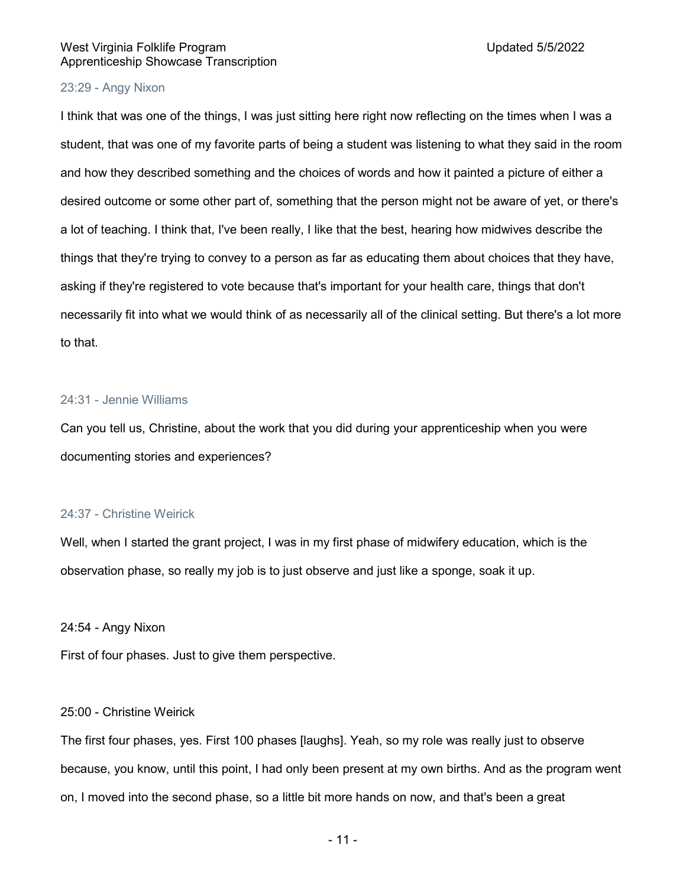# 23:29 - Angy Nixon

I think that was one of the things, I was just sitting here right now reflecting on the times when I was a student, that was one of my favorite parts of being a student was listening to what they said in the room and how they described something and the choices of words and how it painted a picture of either a desired outcome or some other part of, something that the person might not be aware of yet, or there's a lot of teaching. I think that, I've been really, I like that the best, hearing how midwives describe the things that they're trying to convey to a person as far as educating them about choices that they have, asking if they're registered to vote because that's important for your health care, things that don't necessarily fit into what we would think of as necessarily all of the clinical setting. But there's a lot more to that.

#### 24:31 - Jennie Williams

Can you tell us, Christine, about the work that you did during your apprenticeship when you were documenting stories and experiences?

#### 24:37 - Christine Weirick

Well, when I started the grant project, I was in my first phase of midwifery education, which is the observation phase, so really my job is to just observe and just like a sponge, soak it up.

#### 24:54 - Angy Nixon

First of four phases. Just to give them perspective.

#### 25:00 - Christine Weirick

The first four phases, yes. First 100 phases [laughs]. Yeah, so my role was really just to observe because, you know, until this point, I had only been present at my own births. And as the program went on, I moved into the second phase, so a little bit more hands on now, and that's been a great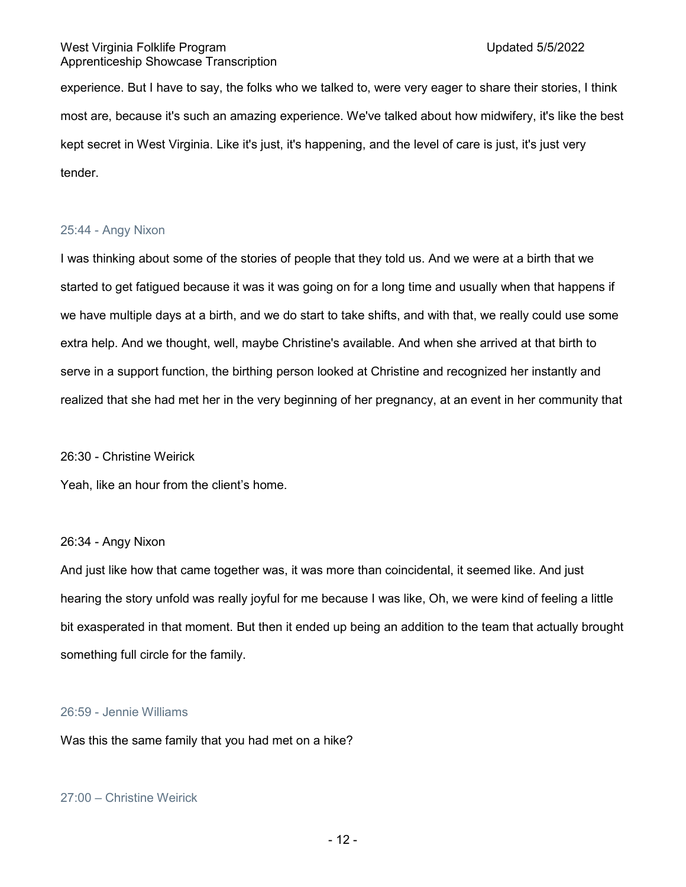experience. But I have to say, the folks who we talked to, were very eager to share their stories, I think most are, because it's such an amazing experience. We've talked about how midwifery, it's like the best kept secret in West Virginia. Like it's just, it's happening, and the level of care is just, it's just very tender.

# 25:44 - Angy Nixon

I was thinking about some of the stories of people that they told us. And we were at a birth that we started to get fatigued because it was it was going on for a long time and usually when that happens if we have multiple days at a birth, and we do start to take shifts, and with that, we really could use some extra help. And we thought, well, maybe Christine's available. And when she arrived at that birth to serve in a support function, the birthing person looked at Christine and recognized her instantly and realized that she had met her in the very beginning of her pregnancy, at an event in her community that

#### 26:30 - Christine Weirick

Yeah, like an hour from the client's home.

#### 26:34 - Angy Nixon

And just like how that came together was, it was more than coincidental, it seemed like. And just hearing the story unfold was really joyful for me because I was like, Oh, we were kind of feeling a little bit exasperated in that moment. But then it ended up being an addition to the team that actually brought something full circle for the family.

# 26:59 - Jennie Williams

Was this the same family that you had met on a hike?

# 27:00 – Christine Weirick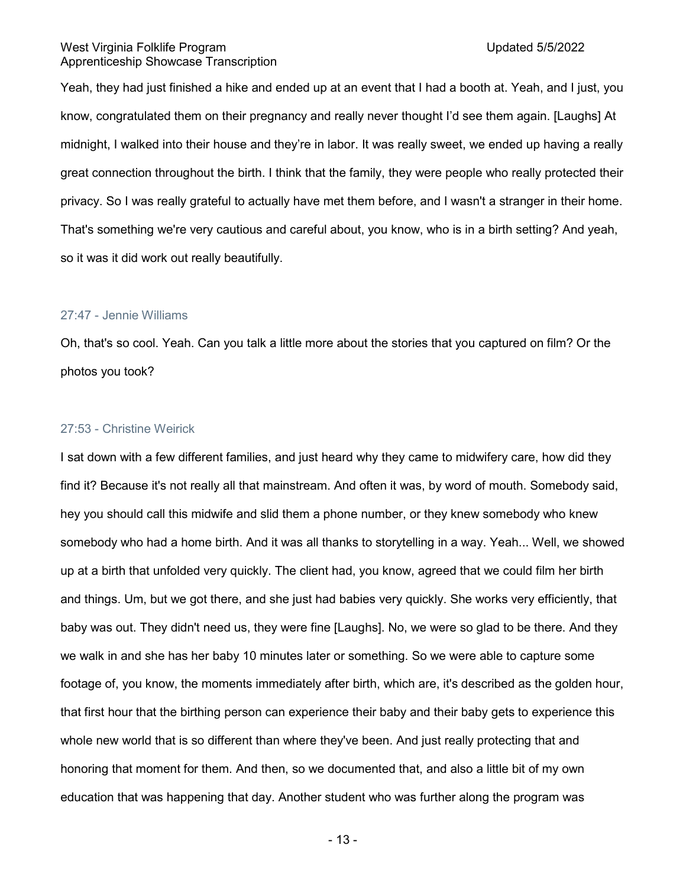Yeah, they had just finished a hike and ended up at an event that I had a booth at. Yeah, and I just, you know, congratulated them on their pregnancy and really never thought I'd see them again. [Laughs] At midnight, I walked into their house and they're in labor. It was really sweet, we ended up having a really great connection throughout the birth. I think that the family, they were people who really protected their privacy. So I was really grateful to actually have met them before, and I wasn't a stranger in their home. That's something we're very cautious and careful about, you know, who is in a birth setting? And yeah, so it was it did work out really beautifully.

#### 27:47 - Jennie Williams

Oh, that's so cool. Yeah. Can you talk a little more about the stories that you captured on film? Or the photos you took?

#### 27:53 - Christine Weirick

I sat down with a few different families, and just heard why they came to midwifery care, how did they find it? Because it's not really all that mainstream. And often it was, by word of mouth. Somebody said, hey you should call this midwife and slid them a phone number, or they knew somebody who knew somebody who had a home birth. And it was all thanks to storytelling in a way. Yeah... Well, we showed up at a birth that unfolded very quickly. The client had, you know, agreed that we could film her birth and things. Um, but we got there, and she just had babies very quickly. She works very efficiently, that baby was out. They didn't need us, they were fine [Laughs]. No, we were so glad to be there. And they we walk in and she has her baby 10 minutes later or something. So we were able to capture some footage of, you know, the moments immediately after birth, which are, it's described as the golden hour, that first hour that the birthing person can experience their baby and their baby gets to experience this whole new world that is so different than where they've been. And just really protecting that and honoring that moment for them. And then, so we documented that, and also a little bit of my own education that was happening that day. Another student who was further along the program was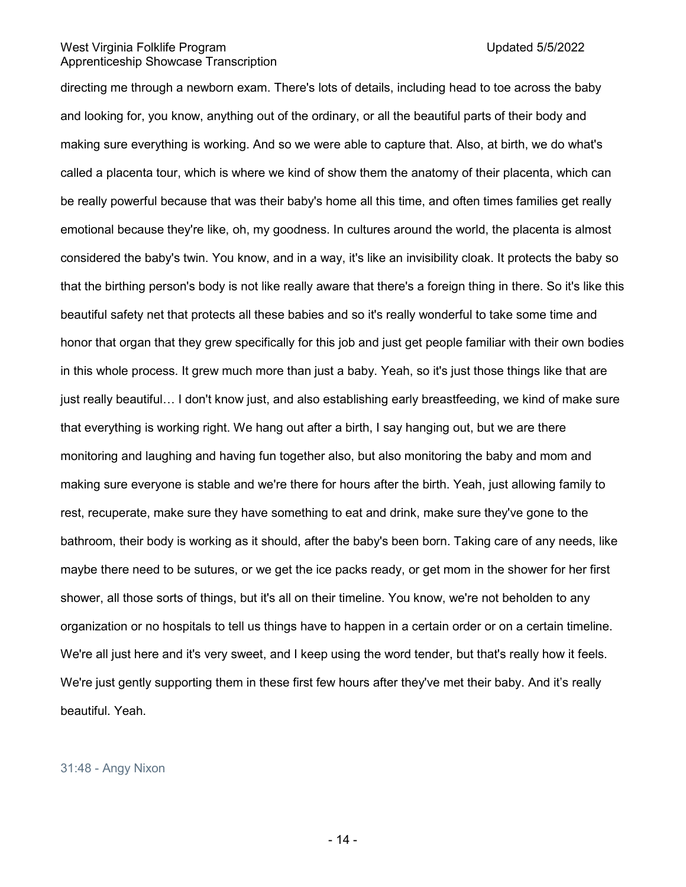directing me through a newborn exam. There's lots of details, including head to toe across the baby and looking for, you know, anything out of the ordinary, or all the beautiful parts of their body and making sure everything is working. And so we were able to capture that. Also, at birth, we do what's called a placenta tour, which is where we kind of show them the anatomy of their placenta, which can be really powerful because that was their baby's home all this time, and often times families get really emotional because they're like, oh, my goodness. In cultures around the world, the placenta is almost considered the baby's twin. You know, and in a way, it's like an invisibility cloak. It protects the baby so that the birthing person's body is not like really aware that there's a foreign thing in there. So it's like this beautiful safety net that protects all these babies and so it's really wonderful to take some time and honor that organ that they grew specifically for this job and just get people familiar with their own bodies in this whole process. It grew much more than just a baby. Yeah, so it's just those things like that are just really beautiful… I don't know just, and also establishing early breastfeeding, we kind of make sure that everything is working right. We hang out after a birth, I say hanging out, but we are there monitoring and laughing and having fun together also, but also monitoring the baby and mom and making sure everyone is stable and we're there for hours after the birth. Yeah, just allowing family to rest, recuperate, make sure they have something to eat and drink, make sure they've gone to the bathroom, their body is working as it should, after the baby's been born. Taking care of any needs, like maybe there need to be sutures, or we get the ice packs ready, or get mom in the shower for her first shower, all those sorts of things, but it's all on their timeline. You know, we're not beholden to any organization or no hospitals to tell us things have to happen in a certain order or on a certain timeline. We're all just here and it's very sweet, and I keep using the word tender, but that's really how it feels. We're just gently supporting them in these first few hours after they've met their baby. And it's really beautiful. Yeah.

#### 31:48 - Angy Nixon

- 14 -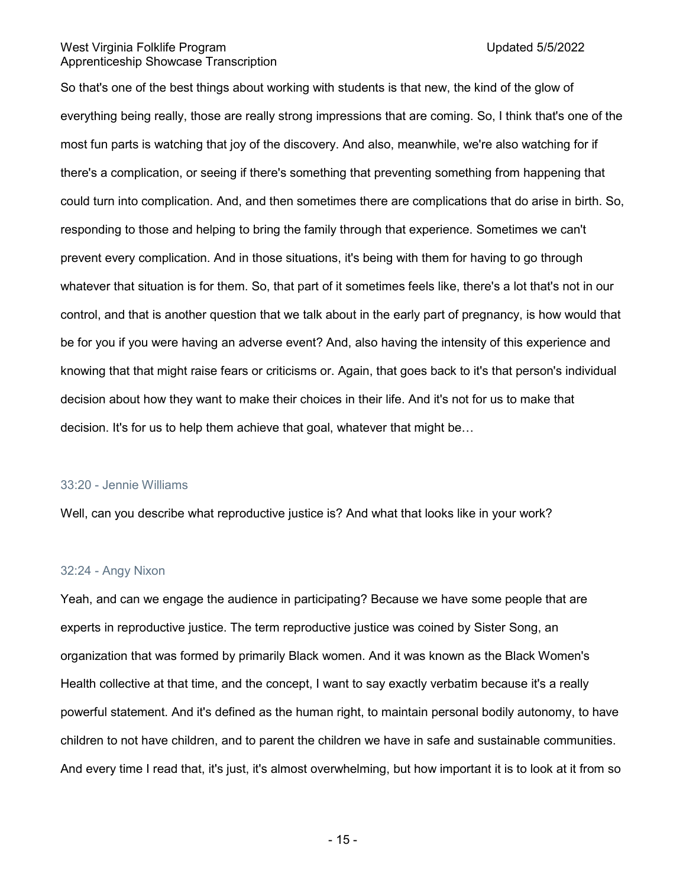So that's one of the best things about working with students is that new, the kind of the glow of everything being really, those are really strong impressions that are coming. So, I think that's one of the most fun parts is watching that joy of the discovery. And also, meanwhile, we're also watching for if there's a complication, or seeing if there's something that preventing something from happening that could turn into complication. And, and then sometimes there are complications that do arise in birth. So, responding to those and helping to bring the family through that experience. Sometimes we can't prevent every complication. And in those situations, it's being with them for having to go through whatever that situation is for them. So, that part of it sometimes feels like, there's a lot that's not in our control, and that is another question that we talk about in the early part of pregnancy, is how would that be for you if you were having an adverse event? And, also having the intensity of this experience and knowing that that might raise fears or criticisms or. Again, that goes back to it's that person's individual decision about how they want to make their choices in their life. And it's not for us to make that decision. It's for us to help them achieve that goal, whatever that might be…

### 33:20 - Jennie Williams

Well, can you describe what reproductive justice is? And what that looks like in your work?

#### 32:24 - Angy Nixon

Yeah, and can we engage the audience in participating? Because we have some people that are experts in reproductive justice. The term reproductive justice was coined by Sister Song, an organization that was formed by primarily Black women. And it was known as the Black Women's Health collective at that time, and the concept, I want to say exactly verbatim because it's a really powerful statement. And it's defined as the human right, to maintain personal bodily autonomy, to have children to not have children, and to parent the children we have in safe and sustainable communities. And every time I read that, it's just, it's almost overwhelming, but how important it is to look at it from so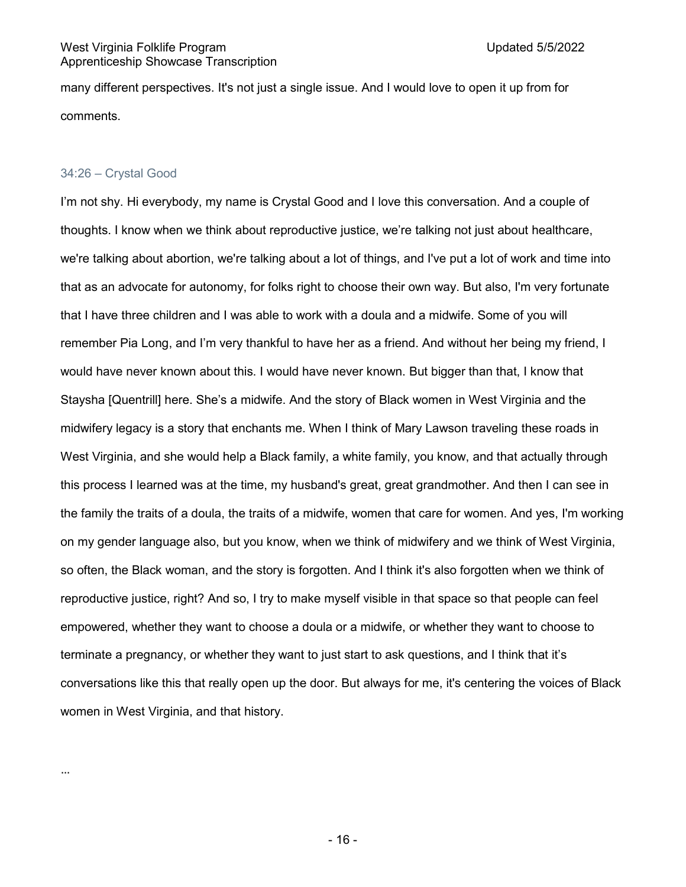many different perspectives. It's not just a single issue. And I would love to open it up from for comments.

# 34:26 – Crystal Good

I'm not shy. Hi everybody, my name is Crystal Good and I love this conversation. And a couple of thoughts. I know when we think about reproductive justice, we're talking not just about healthcare, we're talking about abortion, we're talking about a lot of things, and I've put a lot of work and time into that as an advocate for autonomy, for folks right to choose their own way. But also, I'm very fortunate that I have three children and I was able to work with a doula and a midwife. Some of you will remember Pia Long, and I'm very thankful to have her as a friend. And without her being my friend, I would have never known about this. I would have never known. But bigger than that, I know that Staysha [Quentrill] here. She's a midwife. And the story of Black women in West Virginia and the midwifery legacy is a story that enchants me. When I think of Mary Lawson traveling these roads in West Virginia, and she would help a Black family, a white family, you know, and that actually through this process I learned was at the time, my husband's great, great grandmother. And then I can see in the family the traits of a doula, the traits of a midwife, women that care for women. And yes, I'm working on my gender language also, but you know, when we think of midwifery and we think of West Virginia, so often, the Black woman, and the story is forgotten. And I think it's also forgotten when we think of reproductive justice, right? And so, I try to make myself visible in that space so that people can feel empowered, whether they want to choose a doula or a midwife, or whether they want to choose to terminate a pregnancy, or whether they want to just start to ask questions, and I think that it's conversations like this that really open up the door. But always for me, it's centering the voices of Black women in West Virginia, and that history.

…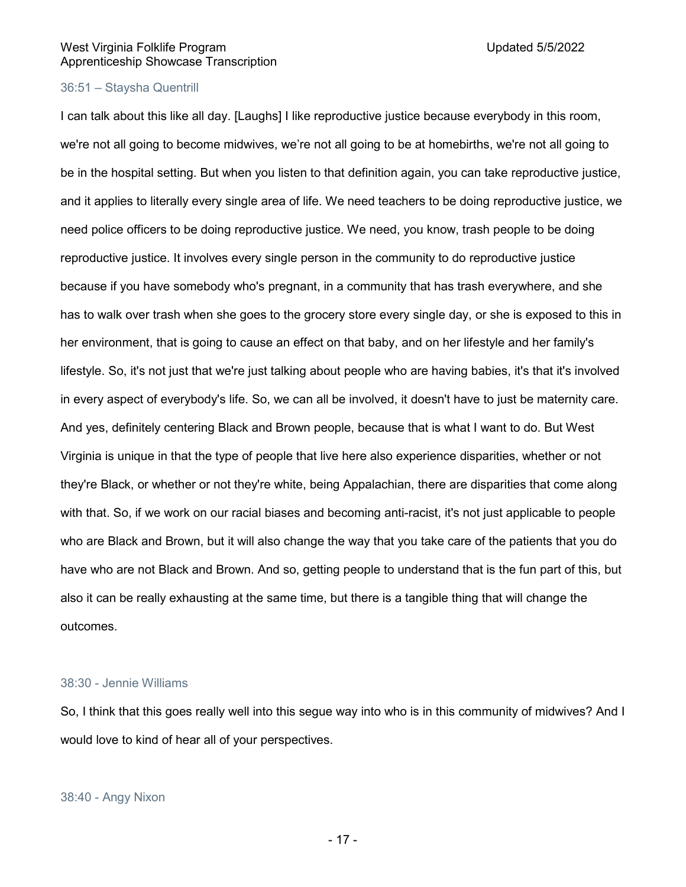# 36:51 – Staysha Quentrill

I can talk about this like all day. [Laughs] I like reproductive justice because everybody in this room, we're not all going to become midwives, we're not all going to be at homebirths, we're not all going to be in the hospital setting. But when you listen to that definition again, you can take reproductive justice, and it applies to literally every single area of life. We need teachers to be doing reproductive justice, we need police officers to be doing reproductive justice. We need, you know, trash people to be doing reproductive justice. It involves every single person in the community to do reproductive justice because if you have somebody who's pregnant, in a community that has trash everywhere, and she has to walk over trash when she goes to the grocery store every single day, or she is exposed to this in her environment, that is going to cause an effect on that baby, and on her lifestyle and her family's lifestyle. So, it's not just that we're just talking about people who are having babies, it's that it's involved in every aspect of everybody's life. So, we can all be involved, it doesn't have to just be maternity care. And yes, definitely centering Black and Brown people, because that is what I want to do. But West Virginia is unique in that the type of people that live here also experience disparities, whether or not they're Black, or whether or not they're white, being Appalachian, there are disparities that come along with that. So, if we work on our racial biases and becoming anti-racist, it's not just applicable to people who are Black and Brown, but it will also change the way that you take care of the patients that you do have who are not Black and Brown. And so, getting people to understand that is the fun part of this, but also it can be really exhausting at the same time, but there is a tangible thing that will change the outcomes.

# 38:30 - Jennie Williams

So, I think that this goes really well into this segue way into who is in this community of midwives? And I would love to kind of hear all of your perspectives.

#### 38:40 - Angy Nixon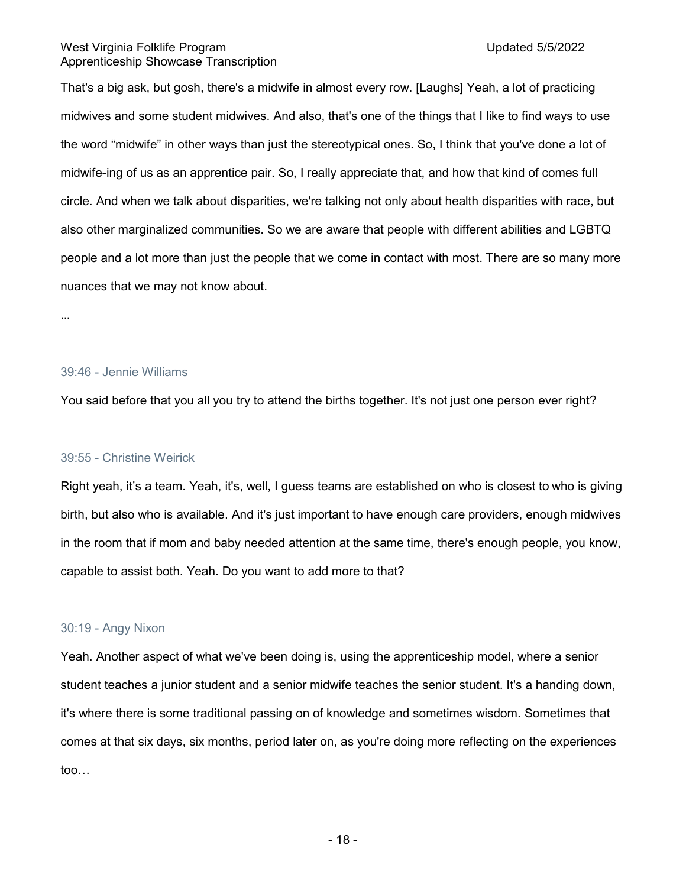That's a big ask, but gosh, there's a midwife in almost every row. [Laughs] Yeah, a lot of practicing midwives and some student midwives. And also, that's one of the things that I like to find ways to use the word "midwife" in other ways than just the stereotypical ones. So, I think that you've done a lot of midwife-ing of us as an apprentice pair. So, I really appreciate that, and how that kind of comes full circle. And when we talk about disparities, we're talking not only about health disparities with race, but also other marginalized communities. So we are aware that people with different abilities and LGBTQ people and a lot more than just the people that we come in contact with most. There are so many more nuances that we may not know about.

…

#### 39:46 - Jennie Williams

You said before that you all you try to attend the births together. It's not just one person ever right?

#### 39:55 - Christine Weirick

Right yeah, it's a team. Yeah, it's, well, I guess teams are established on who is closest to who is giving birth, but also who is available. And it's just important to have enough care providers, enough midwives in the room that if mom and baby needed attention at the same time, there's enough people, you know, capable to assist both. Yeah. Do you want to add more to that?

#### 30:19 - Angy Nixon

Yeah. Another aspect of what we've been doing is, using the apprenticeship model, where a senior student teaches a junior student and a senior midwife teaches the senior student. It's a handing down, it's where there is some traditional passing on of knowledge and sometimes wisdom. Sometimes that comes at that six days, six months, period later on, as you're doing more reflecting on the experiences too…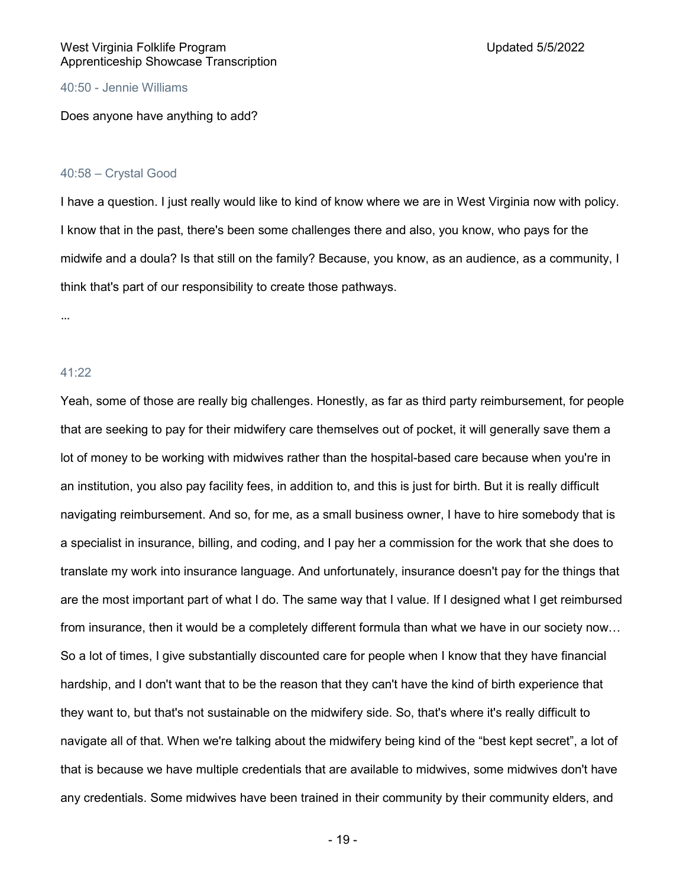# 40:50 - Jennie Williams

Does anyone have anything to add?

#### 40:58 – Crystal Good

I have a question. I just really would like to kind of know where we are in West Virginia now with policy. I know that in the past, there's been some challenges there and also, you know, who pays for the midwife and a doula? Is that still on the family? Because, you know, as an audience, as a community, I think that's part of our responsibility to create those pathways.

…

# 41:22

Yeah, some of those are really big challenges. Honestly, as far as third party reimbursement, for people that are seeking to pay for their midwifery care themselves out of pocket, it will generally save them a lot of money to be working with midwives rather than the hospital-based care because when you're in an institution, you also pay facility fees, in addition to, and this is just for birth. But it is really difficult navigating reimbursement. And so, for me, as a small business owner, I have to hire somebody that is a specialist in insurance, billing, and coding, and I pay her a commission for the work that she does to translate my work into insurance language. And unfortunately, insurance doesn't pay for the things that are the most important part of what I do. The same way that I value. If I designed what I get reimbursed from insurance, then it would be a completely different formula than what we have in our society now… So a lot of times, I give substantially discounted care for people when I know that they have financial hardship, and I don't want that to be the reason that they can't have the kind of birth experience that they want to, but that's not sustainable on the midwifery side. So, that's where it's really difficult to navigate all of that. When we're talking about the midwifery being kind of the "best kept secret", a lot of that is because we have multiple credentials that are available to midwives, some midwives don't have any credentials. Some midwives have been trained in their community by their community elders, and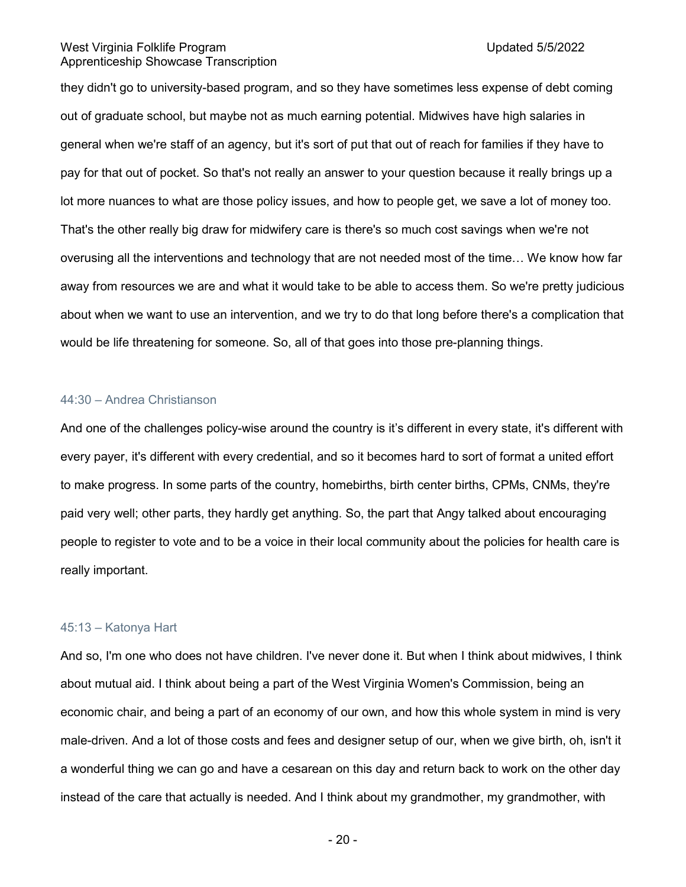they didn't go to university-based program, and so they have sometimes less expense of debt coming out of graduate school, but maybe not as much earning potential. Midwives have high salaries in general when we're staff of an agency, but it's sort of put that out of reach for families if they have to pay for that out of pocket. So that's not really an answer to your question because it really brings up a lot more nuances to what are those policy issues, and how to people get, we save a lot of money too. That's the other really big draw for midwifery care is there's so much cost savings when we're not overusing all the interventions and technology that are not needed most of the time… We know how far away from resources we are and what it would take to be able to access them. So we're pretty judicious about when we want to use an intervention, and we try to do that long before there's a complication that would be life threatening for someone. So, all of that goes into those pre-planning things.

# 44:30 – Andrea Christianson

And one of the challenges policy-wise around the country is it's different in every state, it's different with every payer, it's different with every credential, and so it becomes hard to sort of format a united effort to make progress. In some parts of the country, homebirths, birth center births, CPMs, CNMs, they're paid very well; other parts, they hardly get anything. So, the part that Angy talked about encouraging people to register to vote and to be a voice in their local community about the policies for health care is really important.

#### 45:13 – Katonya Hart

And so, I'm one who does not have children. I've never done it. But when I think about midwives, I think about mutual aid. I think about being a part of the West Virginia Women's Commission, being an economic chair, and being a part of an economy of our own, and how this whole system in mind is very male-driven. And a lot of those costs and fees and designer setup of our, when we give birth, oh, isn't it a wonderful thing we can go and have a cesarean on this day and return back to work on the other day instead of the care that actually is needed. And I think about my grandmother, my grandmother, with

- 20 -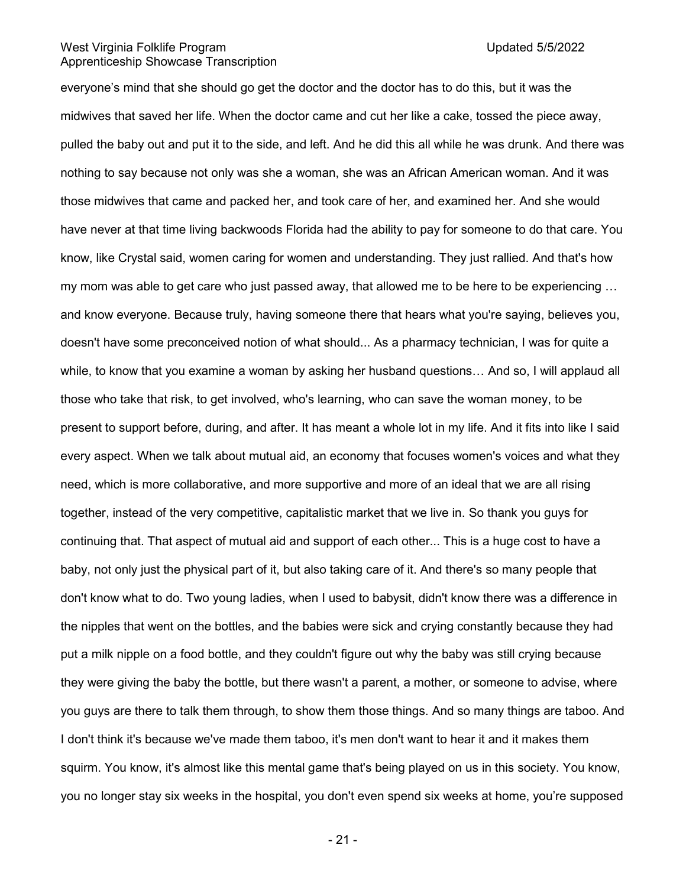everyone's mind that she should go get the doctor and the doctor has to do this, but it was the midwives that saved her life. When the doctor came and cut her like a cake, tossed the piece away, pulled the baby out and put it to the side, and left. And he did this all while he was drunk. And there was nothing to say because not only was she a woman, she was an African American woman. And it was those midwives that came and packed her, and took care of her, and examined her. And she would have never at that time living backwoods Florida had the ability to pay for someone to do that care. You know, like Crystal said, women caring for women and understanding. They just rallied. And that's how my mom was able to get care who just passed away, that allowed me to be here to be experiencing ... and know everyone. Because truly, having someone there that hears what you're saying, believes you, doesn't have some preconceived notion of what should... As a pharmacy technician, I was for quite a while, to know that you examine a woman by asking her husband questions… And so, I will applaud all those who take that risk, to get involved, who's learning, who can save the woman money, to be present to support before, during, and after. It has meant a whole lot in my life. And it fits into like I said every aspect. When we talk about mutual aid, an economy that focuses women's voices and what they need, which is more collaborative, and more supportive and more of an ideal that we are all rising together, instead of the very competitive, capitalistic market that we live in. So thank you guys for continuing that. That aspect of mutual aid and support of each other... This is a huge cost to have a baby, not only just the physical part of it, but also taking care of it. And there's so many people that don't know what to do. Two young ladies, when I used to babysit, didn't know there was a difference in the nipples that went on the bottles, and the babies were sick and crying constantly because they had put a milk nipple on a food bottle, and they couldn't figure out why the baby was still crying because they were giving the baby the bottle, but there wasn't a parent, a mother, or someone to advise, where you guys are there to talk them through, to show them those things. And so many things are taboo. And I don't think it's because we've made them taboo, it's men don't want to hear it and it makes them squirm. You know, it's almost like this mental game that's being played on us in this society. You know, you no longer stay six weeks in the hospital, you don't even spend six weeks at home, you're supposed

- 21 -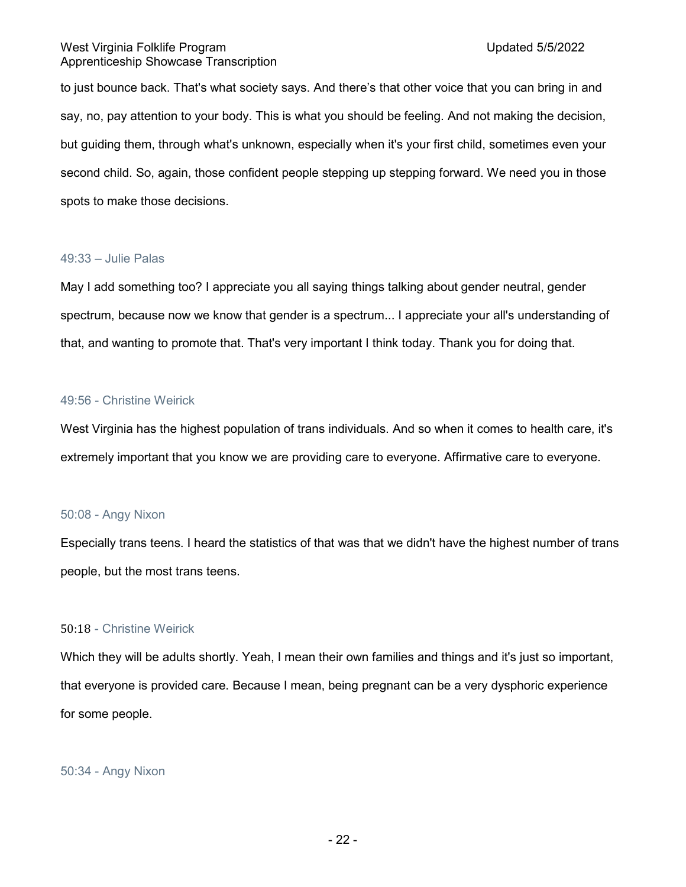to just bounce back. That's what society says. And there's that other voice that you can bring in and say, no, pay attention to your body. This is what you should be feeling. And not making the decision, but guiding them, through what's unknown, especially when it's your first child, sometimes even your second child. So, again, those confident people stepping up stepping forward. We need you in those spots to make those decisions.

# 49:33 – Julie Palas

May I add something too? I appreciate you all saying things talking about gender neutral, gender spectrum, because now we know that gender is a spectrum... I appreciate your all's understanding of that, and wanting to promote that. That's very important I think today. Thank you for doing that.

# 49:56 - Christine Weirick

West Virginia has the highest population of trans individuals. And so when it comes to health care, it's extremely important that you know we are providing care to everyone. Affirmative care to everyone.

# 50:08 - Angy Nixon

Especially trans teens. I heard the statistics of that was that we didn't have the highest number of trans people, but the most trans teens.

# 50:18 - Christine Weirick

Which they will be adults shortly. Yeah, I mean their own families and things and it's just so important, that everyone is provided care. Because I mean, being pregnant can be a very dysphoric experience for some people.

50:34 - Angy Nixon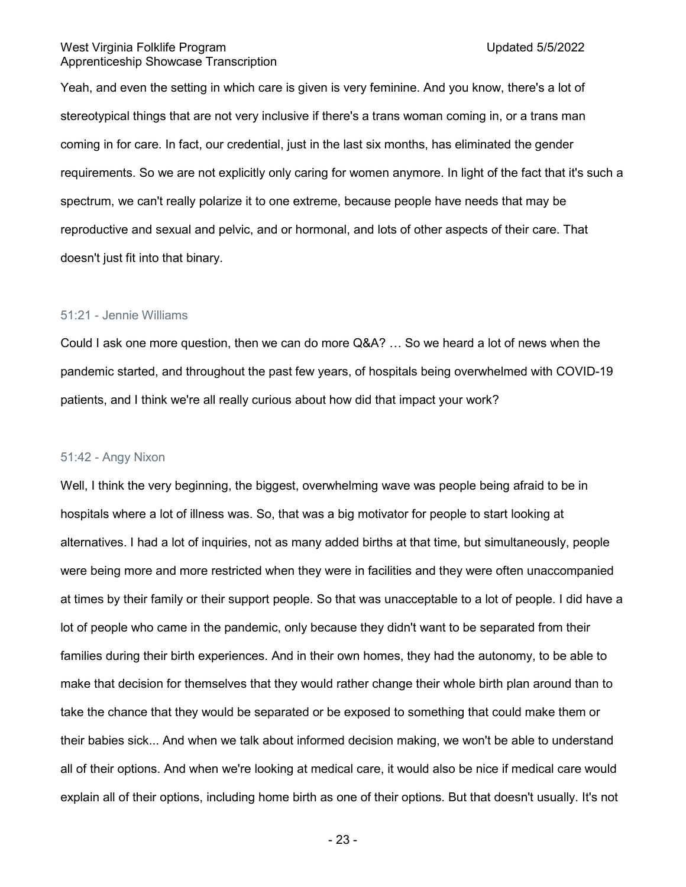Yeah, and even the setting in which care is given is very feminine. And you know, there's a lot of stereotypical things that are not very inclusive if there's a trans woman coming in, or a trans man coming in for care. In fact, our credential, just in the last six months, has eliminated the gender requirements. So we are not explicitly only caring for women anymore. In light of the fact that it's such a spectrum, we can't really polarize it to one extreme, because people have needs that may be reproductive and sexual and pelvic, and or hormonal, and lots of other aspects of their care. That doesn't just fit into that binary.

# 51:21 - Jennie Williams

Could I ask one more question, then we can do more Q&A? … So we heard a lot of news when the pandemic started, and throughout the past few years, of hospitals being overwhelmed with COVID-19 patients, and I think we're all really curious about how did that impact your work?

### 51:42 - Angy Nixon

Well, I think the very beginning, the biggest, overwhelming wave was people being afraid to be in hospitals where a lot of illness was. So, that was a big motivator for people to start looking at alternatives. I had a lot of inquiries, not as many added births at that time, but simultaneously, people were being more and more restricted when they were in facilities and they were often unaccompanied at times by their family or their support people. So that was unacceptable to a lot of people. I did have a lot of people who came in the pandemic, only because they didn't want to be separated from their families during their birth experiences. And in their own homes, they had the autonomy, to be able to make that decision for themselves that they would rather change their whole birth plan around than to take the chance that they would be separated or be exposed to something that could make them or their babies sick... And when we talk about informed decision making, we won't be able to understand all of their options. And when we're looking at medical care, it would also be nice if medical care would explain all of their options, including home birth as one of their options. But that doesn't usually. It's not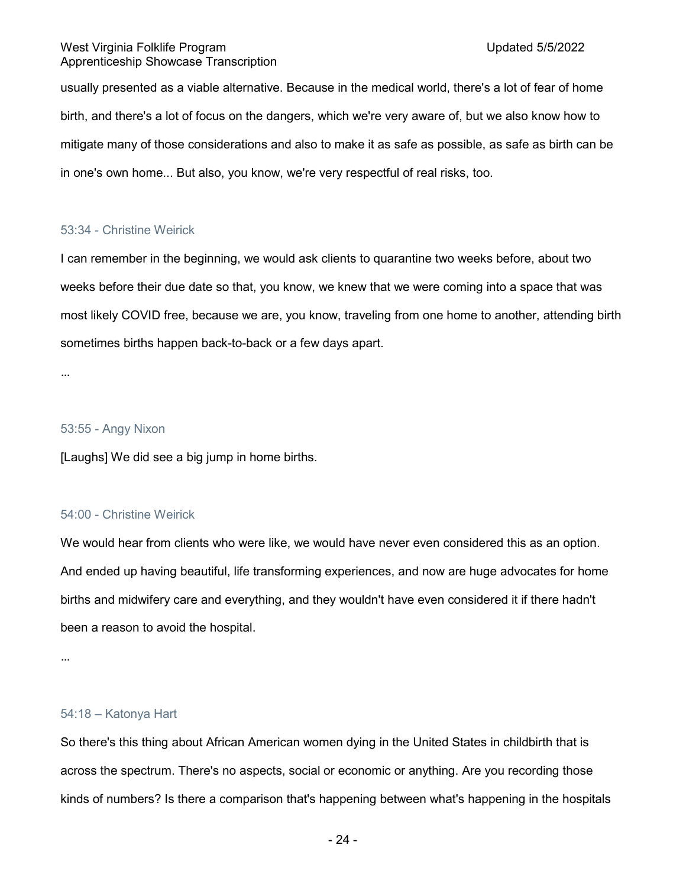usually presented as a viable alternative. Because in the medical world, there's a lot of fear of home birth, and there's a lot of focus on the dangers, which we're very aware of, but we also know how to mitigate many of those considerations and also to make it as safe as possible, as safe as birth can be in one's own home... But also, you know, we're very respectful of real risks, too.

# 53:34 - Christine Weirick

I can remember in the beginning, we would ask clients to quarantine two weeks before, about two weeks before their due date so that, you know, we knew that we were coming into a space that was most likely COVID free, because we are, you know, traveling from one home to another, attending birth sometimes births happen back-to-back or a few days apart.

…

# 53:55 - Angy Nixon

[Laughs] We did see a big jump in home births.

# 54:00 - Christine Weirick

We would hear from clients who were like, we would have never even considered this as an option. And ended up having beautiful, life transforming experiences, and now are huge advocates for home births and midwifery care and everything, and they wouldn't have even considered it if there hadn't been a reason to avoid the hospital.

…

# 54:18 – Katonya Hart

So there's this thing about African American women dying in the United States in childbirth that is across the spectrum. There's no aspects, social or economic or anything. Are you recording those kinds of numbers? Is there a comparison that's happening between what's happening in the hospitals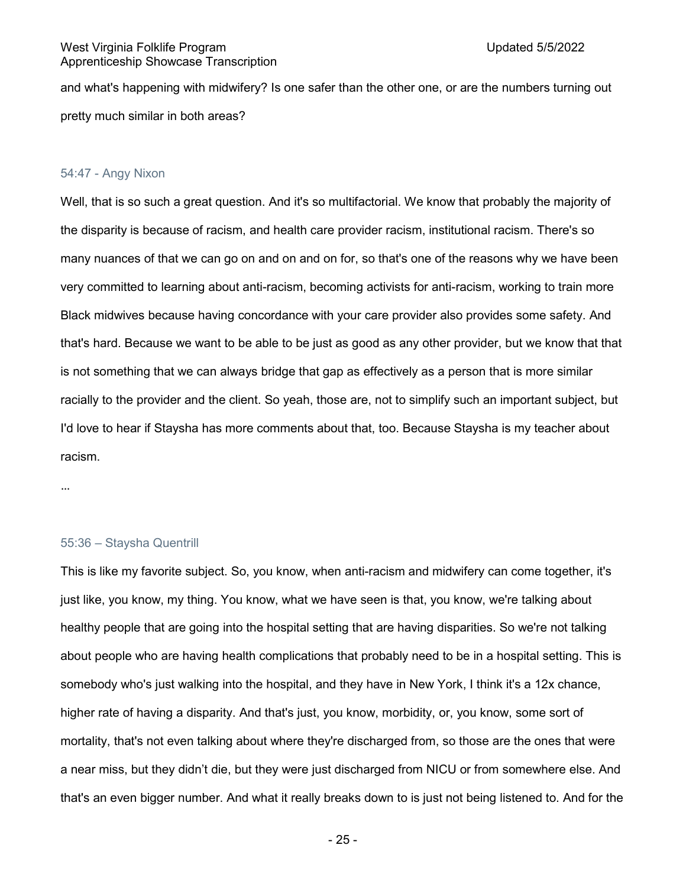and what's happening with midwifery? Is one safer than the other one, or are the numbers turning out pretty much similar in both areas?

### 54:47 - Angy Nixon

Well, that is so such a great question. And it's so multifactorial. We know that probably the majority of the disparity is because of racism, and health care provider racism, institutional racism. There's so many nuances of that we can go on and on and on for, so that's one of the reasons why we have been very committed to learning about anti-racism, becoming activists for anti-racism, working to train more Black midwives because having concordance with your care provider also provides some safety. And that's hard. Because we want to be able to be just as good as any other provider, but we know that that is not something that we can always bridge that gap as effectively as a person that is more similar racially to the provider and the client. So yeah, those are, not to simplify such an important subject, but I'd love to hear if Staysha has more comments about that, too. Because Staysha is my teacher about racism.

…

#### 55:36 – Staysha Quentrill

This is like my favorite subject. So, you know, when anti-racism and midwifery can come together, it's just like, you know, my thing. You know, what we have seen is that, you know, we're talking about healthy people that are going into the hospital setting that are having disparities. So we're not talking about people who are having health complications that probably need to be in a hospital setting. This is somebody who's just walking into the hospital, and they have in New York, I think it's a 12x chance, higher rate of having a disparity. And that's just, you know, morbidity, or, you know, some sort of mortality, that's not even talking about where they're discharged from, so those are the ones that were a near miss, but they didn't die, but they were just discharged from NICU or from somewhere else. And that's an even bigger number. And what it really breaks down to is just not being listened to. And for the

- 25 -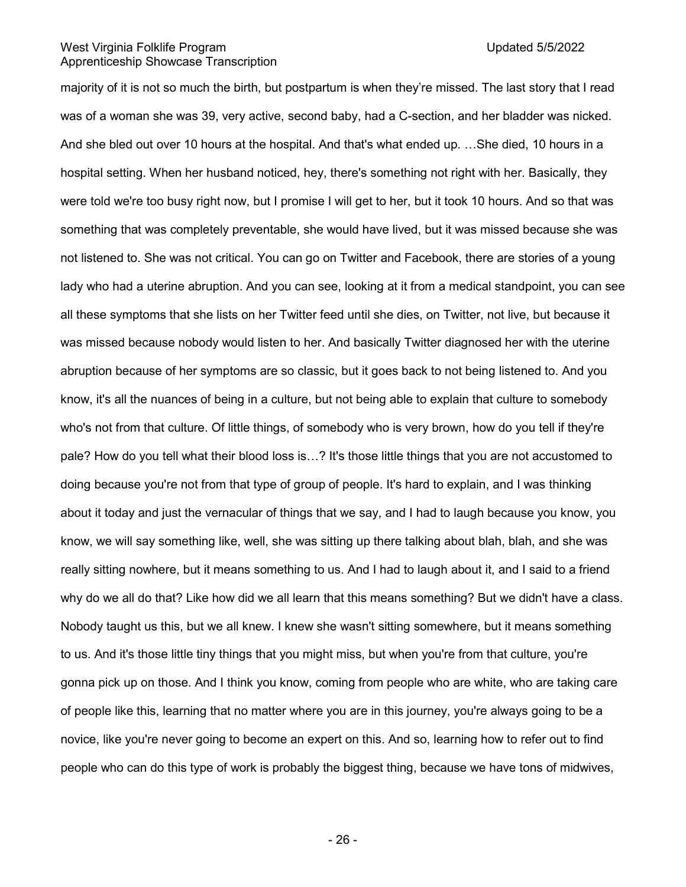majority of it is not so much the birth, but postpartum is when they're missed. The last story that I read was of a woman she was 39, very active, second baby, had a C-section, and her bladder was nicked. And she bled out over 10 hours at the hospital. And that's what ended up. …She died, 10 hours in a hospital setting. When her husband noticed, hey, there's something not right with her. Basically, they were told we're too busy right now, but I promise I will get to her, but it took 10 hours. And so that was something that was completely preventable, she would have lived, but it was missed because she was not listened to. She was not critical. You can go on Twitter and Facebook, there are stories of a young lady who had a uterine abruption. And you can see, looking at it from a medical standpoint, you can see all these symptoms that she lists on her Twitter feed until she dies, on Twitter, not live, but because it was missed because nobody would listen to her. And basically Twitter diagnosed her with the uterine abruption because of her symptoms are so classic, but it goes back to not being listened to. And you know, it's all the nuances of being in a culture, but not being able to explain that culture to somebody who's not from that culture. Of little things, of somebody who is very brown, how do you tell if they're pale? How do you tell what their blood loss is…? It's those little things that you are not accustomed to doing because you're not from that type of group of people. It's hard to explain, and I was thinking about it today and just the vernacular of things that we say, and I had to laugh because you know, you know, we will say something like, well, she was sitting up there talking about blah, blah, and she was really sitting nowhere, but it means something to us. And I had to laugh about it, and I said to a friend why do we all do that? Like how did we all learn that this means something? But we didn't have a class. Nobody taught us this, but we all knew. I knew she wasn't sitting somewhere, but it means something to us. And it's those little tiny things that you might miss, but when you're from that culture, you're gonna pick up on those. And I think you know, coming from people who are white, who are taking care of people like this, learning that no matter where you are in this journey, you're always going to be a novice, like you're never going to become an expert on this. And so, learning how to refer out to find people who can do this type of work is probably the biggest thing, because we have tons of midwives,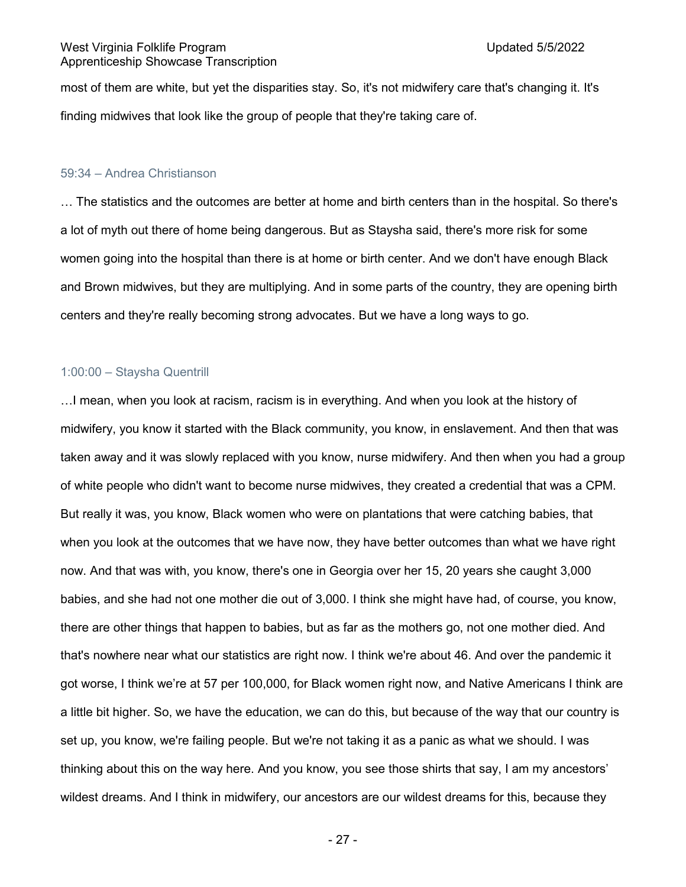most of them are white, but yet the disparities stay. So, it's not midwifery care that's changing it. It's finding midwives that look like the group of people that they're taking care of.

#### 59:34 – Andrea Christianson

… The statistics and the outcomes are better at home and birth centers than in the hospital. So there's a lot of myth out there of home being dangerous. But as Staysha said, there's more risk for some women going into the hospital than there is at home or birth center. And we don't have enough Black and Brown midwives, but they are multiplying. And in some parts of the country, they are opening birth centers and they're really becoming strong advocates. But we have a long ways to go.

# 1:00:00 – Staysha Quentrill

…I mean, when you look at racism, racism is in everything. And when you look at the history of midwifery, you know it started with the Black community, you know, in enslavement. And then that was taken away and it was slowly replaced with you know, nurse midwifery. And then when you had a group of white people who didn't want to become nurse midwives, they created a credential that was a CPM. But really it was, you know, Black women who were on plantations that were catching babies, that when you look at the outcomes that we have now, they have better outcomes than what we have right now. And that was with, you know, there's one in Georgia over her 15, 20 years she caught 3,000 babies, and she had not one mother die out of 3,000. I think she might have had, of course, you know, there are other things that happen to babies, but as far as the mothers go, not one mother died. And that's nowhere near what our statistics are right now. I think we're about 46. And over the pandemic it got worse, I think we're at 57 per 100,000, for Black women right now, and Native Americans I think are a little bit higher. So, we have the education, we can do this, but because of the way that our country is set up, you know, we're failing people. But we're not taking it as a panic as what we should. I was thinking about this on the way here. And you know, you see those shirts that say, I am my ancestors' wildest dreams. And I think in midwifery, our ancestors are our wildest dreams for this, because they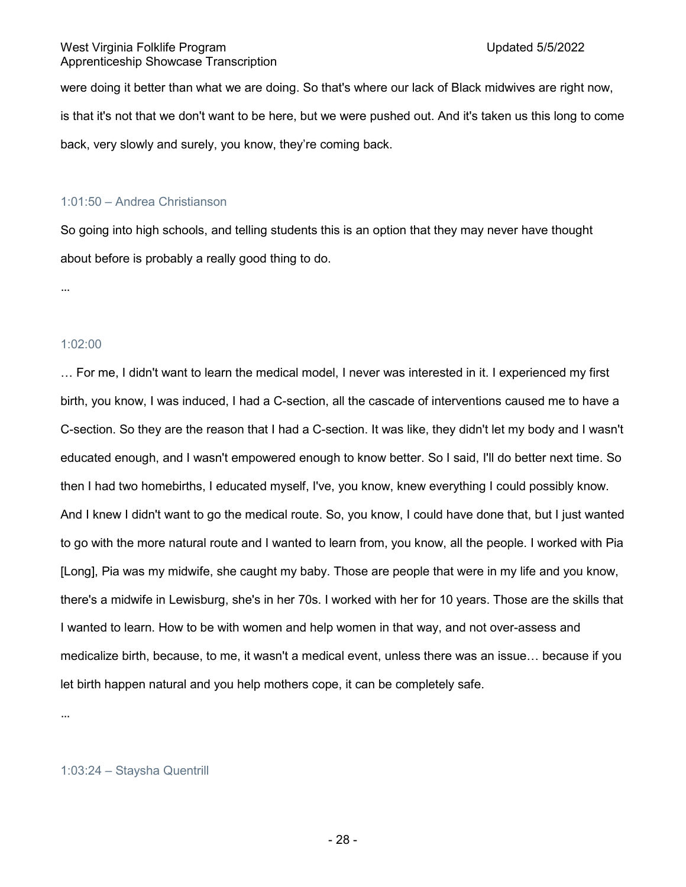were doing it better than what we are doing. So that's where our lack of Black midwives are right now, is that it's not that we don't want to be here, but we were pushed out. And it's taken us this long to come back, very slowly and surely, you know, they're coming back.

# 1:01:50 – Andrea Christianson

So going into high schools, and telling students this is an option that they may never have thought about before is probably a really good thing to do.

…

# 1:02:00

… For me, I didn't want to learn the medical model, I never was interested in it. I experienced my first birth, you know, I was induced, I had a C-section, all the cascade of interventions caused me to have a C-section. So they are the reason that I had a C-section. It was like, they didn't let my body and I wasn't educated enough, and I wasn't empowered enough to know better. So I said, I'll do better next time. So then I had two homebirths, I educated myself, I've, you know, knew everything I could possibly know. And I knew I didn't want to go the medical route. So, you know, I could have done that, but I just wanted to go with the more natural route and I wanted to learn from, you know, all the people. I worked with Pia [Long], Pia was my midwife, she caught my baby. Those are people that were in my life and you know, there's a midwife in Lewisburg, she's in her 70s. I worked with her for 10 years. Those are the skills that I wanted to learn. How to be with women and help women in that way, and not over-assess and medicalize birth, because, to me, it wasn't a medical event, unless there was an issue… because if you let birth happen natural and you help mothers cope, it can be completely safe.

…

# 1:03:24 – Staysha Quentrill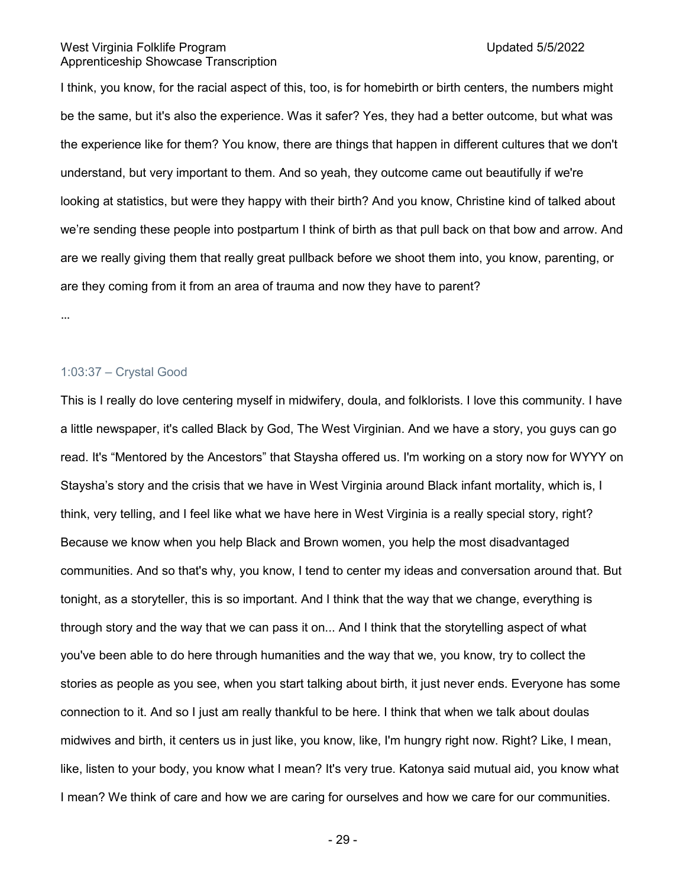I think, you know, for the racial aspect of this, too, is for homebirth or birth centers, the numbers might be the same, but it's also the experience. Was it safer? Yes, they had a better outcome, but what was the experience like for them? You know, there are things that happen in different cultures that we don't understand, but very important to them. And so yeah, they outcome came out beautifully if we're looking at statistics, but were they happy with their birth? And you know, Christine kind of talked about we're sending these people into postpartum I think of birth as that pull back on that bow and arrow. And are we really giving them that really great pullback before we shoot them into, you know, parenting, or are they coming from it from an area of trauma and now they have to parent?

…

# 1:03:37 – Crystal Good

This is I really do love centering myself in midwifery, doula, and folklorists. I love this community. I have a little newspaper, it's called Black by God, The West Virginian. And we have a story, you guys can go read. It's "Mentored by the Ancestors" that Staysha offered us. I'm working on a story now for WYYY on Staysha's story and the crisis that we have in West Virginia around Black infant mortality, which is, I think, very telling, and I feel like what we have here in West Virginia is a really special story, right? Because we know when you help Black and Brown women, you help the most disadvantaged communities. And so that's why, you know, I tend to center my ideas and conversation around that. But tonight, as a storyteller, this is so important. And I think that the way that we change, everything is through story and the way that we can pass it on... And I think that the storytelling aspect of what you've been able to do here through humanities and the way that we, you know, try to collect the stories as people as you see, when you start talking about birth, it just never ends. Everyone has some connection to it. And so I just am really thankful to be here. I think that when we talk about doulas midwives and birth, it centers us in just like, you know, like, I'm hungry right now. Right? Like, I mean, like, listen to your body, you know what I mean? It's very true. Katonya said mutual aid, you know what I mean? We think of care and how we are caring for ourselves and how we care for our communities.

- 29 -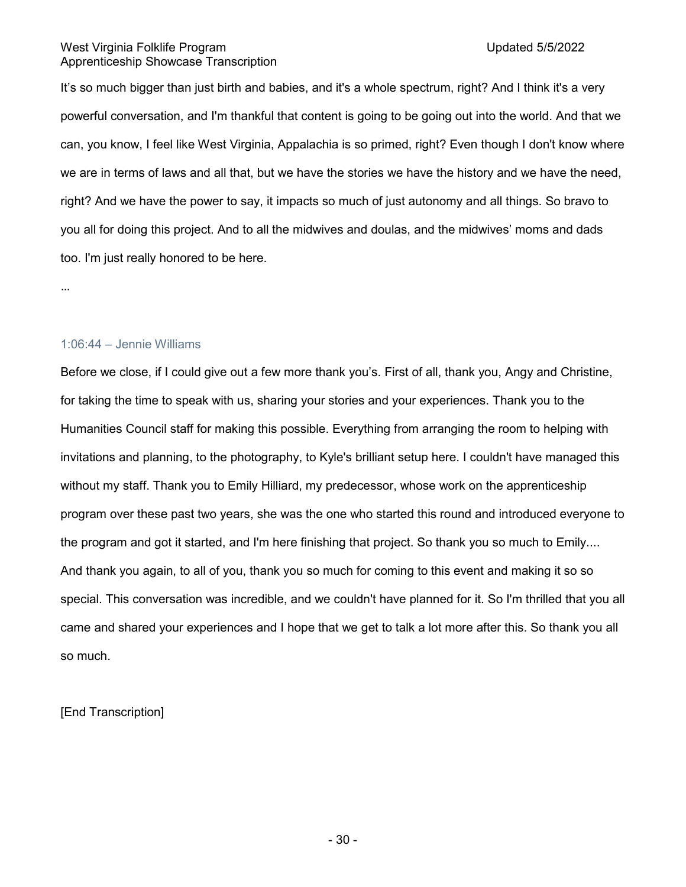It's so much bigger than just birth and babies, and it's a whole spectrum, right? And I think it's a very powerful conversation, and I'm thankful that content is going to be going out into the world. And that we can, you know, I feel like West Virginia, Appalachia is so primed, right? Even though I don't know where we are in terms of laws and all that, but we have the stories we have the history and we have the need, right? And we have the power to say, it impacts so much of just autonomy and all things. So bravo to you all for doing this project. And to all the midwives and doulas, and the midwives' moms and dads too. I'm just really honored to be here.

…

# 1:06:44 – Jennie Williams

Before we close, if I could give out a few more thank you's. First of all, thank you, Angy and Christine, for taking the time to speak with us, sharing your stories and your experiences. Thank you to the Humanities Council staff for making this possible. Everything from arranging the room to helping with invitations and planning, to the photography, to Kyle's brilliant setup here. I couldn't have managed this without my staff. Thank you to Emily Hilliard, my predecessor, whose work on the apprenticeship program over these past two years, she was the one who started this round and introduced everyone to the program and got it started, and I'm here finishing that project. So thank you so much to Emily.... And thank you again, to all of you, thank you so much for coming to this event and making it so so special. This conversation was incredible, and we couldn't have planned for it. So I'm thrilled that you all came and shared your experiences and I hope that we get to talk a lot more after this. So thank you all so much.

# [End Transcription]